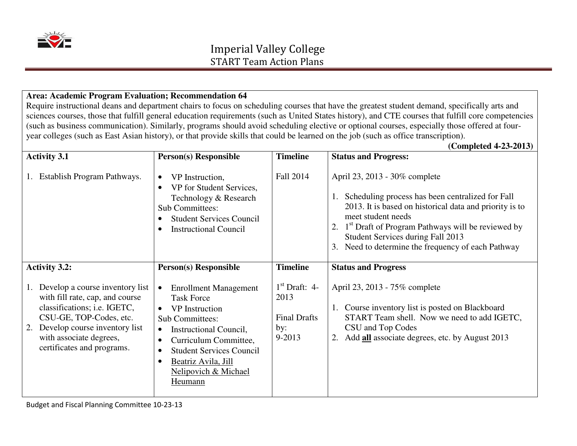

#### **Area: Academic Program Evaluation; Recommendation 64**

 Require instructional deans and department chairs to focus on scheduling courses that have the greatest student demand, specifically arts and sciences courses, those that fulfill general education requirements (such as United States history), and CTE courses that fulfill core competencies (such as business communication). Similarly, programs should avoid scheduling elective or optional courses, especially those offered at fouryear colleges (such as East Asian history), or that provide skills that could be learned on the job (such as office transcription).

#### **(Completed 4-23-2013)Activity 3.1** 1. Establish Program Pathways. **Person(s) Responsible**  $\bullet$  VP Instruction, • VP for Student Services, Technology & Research Sub Committees: • Student Services Council • Instructional Council **Timeline** Fall 2014 **Status and Progress:** April 23, 2013 - 30% complete 1. Scheduling process has been centralized for Fall 2013. It is based on historical data and priority is to meet student needs 2.  $1<sup>st</sup>$  Draft of Program Pathways will be reviewed by Student Services during Fall 2013 3. Need to determine the frequency of each Pathway **Activity 3.2:** 1. Develop a course inventory list with fill rate, cap, and course classifications; i.e. IGETC, CSU-GE, TOP-Codes, etc. 2. Develop course inventory list with associate degrees, certificates and programs. **Person(s) Responsible** • Enrollment Management Task Force • VP Instruction Sub Committees: • Instructional Council, • Curriculum Committee, • Student Services Council • Beatriz Avila, Jill Nelipovich & Michael Heumann **Timeline**  $1<sup>st</sup>$  Draft: 4-2013 Final Drafts by: 9-2013 **Status and Progress** April 23, 2013 - 75% complete 1. Course inventory list is posted on Blackboard START Team shell. Now we need to add IGETC, CSU and Top Codes 2. Add **all** associate degrees, etc. by August 2013

Budget and Fiscal Planning Committee 10-23-13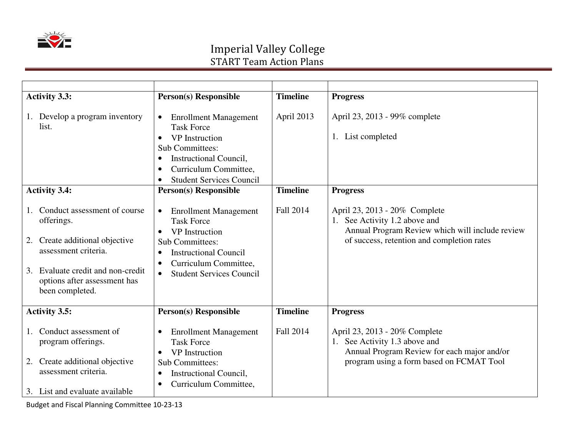

| <b>Activity 3.3:</b>                                                                                                                                                                               | <b>Person(s)</b> Responsible                                                                                                                                                                                                            | <b>Timeline</b>  | <b>Progress</b>                                                                                                                                                 |
|----------------------------------------------------------------------------------------------------------------------------------------------------------------------------------------------------|-----------------------------------------------------------------------------------------------------------------------------------------------------------------------------------------------------------------------------------------|------------------|-----------------------------------------------------------------------------------------------------------------------------------------------------------------|
| 1. Develop a program inventory<br>list.                                                                                                                                                            | <b>Enrollment Management</b><br><b>Task Force</b><br>VP Instruction<br><b>Sub Committees:</b><br><b>Instructional Council,</b><br>$\bullet$<br>Curriculum Committee,<br><b>Student Services Council</b>                                 | April 2013       | April 23, 2013 - 99% complete<br>1. List completed                                                                                                              |
| <b>Activity 3.4:</b>                                                                                                                                                                               | <b>Person(s) Responsible</b>                                                                                                                                                                                                            | <b>Timeline</b>  | <b>Progress</b>                                                                                                                                                 |
| Conduct assessment of course<br>offerings.<br>Create additional objective<br>2.<br>assessment criteria.<br>Evaluate credit and non-credit<br>3.<br>options after assessment has<br>been completed. | <b>Enrollment Management</b><br>$\bullet$<br><b>Task Force</b><br><b>VP</b> Instruction<br><b>Sub Committees:</b><br><b>Instructional Council</b><br>$\bullet$<br>Curriculum Committee,<br><b>Student Services Council</b><br>$\bullet$ | <b>Fall 2014</b> | April 23, 2013 - 20% Complete<br>1. See Activity 1.2 above and<br>Annual Program Review which will include review<br>of success, retention and completion rates |
| <b>Activity 3.5:</b>                                                                                                                                                                               | <b>Person(s)</b> Responsible                                                                                                                                                                                                            | <b>Timeline</b>  | <b>Progress</b>                                                                                                                                                 |
| Conduct assessment of<br>program offerings.<br>Create additional objective<br>2.<br>assessment criteria.<br>3. List and evaluate available                                                         | <b>Enrollment Management</b><br><b>Task Force</b><br><b>VP</b> Instruction<br><b>Sub Committees:</b><br><b>Instructional Council,</b><br>Curriculum Committee,<br>$\bullet$                                                             | <b>Fall 2014</b> | April 23, 2013 - 20% Complete<br>1. See Activity 1.3 above and<br>Annual Program Review for each major and/or<br>program using a form based on FCMAT Tool       |

Budget and Fiscal Planning Committee 10-23-13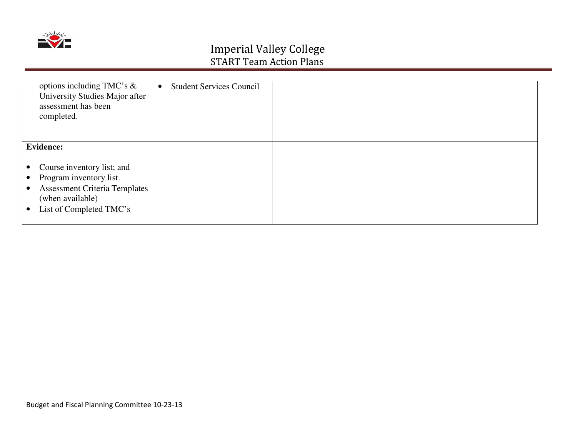

| options including TMC's $\&$<br>University Studies Major after<br>assessment has been<br>completed.                                                                    | <b>Student Services Council</b><br>$\bullet$ |  |
|------------------------------------------------------------------------------------------------------------------------------------------------------------------------|----------------------------------------------|--|
| <b>Evidence:</b>                                                                                                                                                       |                                              |  |
| Course inventory list; and<br>Program inventory list.<br>$\bullet$<br><b>Assessment Criteria Templates</b><br>$\bullet$<br>(when available)<br>List of Completed TMC's |                                              |  |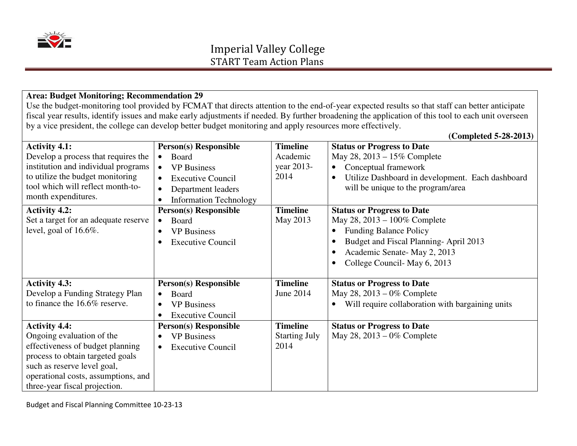

#### **Area: Budget Monitoring; Recommendation 29**

 Use the budget-monitoring tool provided by FCMAT that directs attention to the end-of-year expected results so that staff can better anticipate fiscal year results, identify issues and make early adjustments if needed. By further broadening the application of this tool to each unit overseen by a vice president, the college can develop better budget monitoring and apply resources more effectively.

**(Completed 5-28-2013)**

**Activity 4.1:**  Develop a process that requires the institution and individual programs to utilize the budget monitoring tool which will reflect month-tomonth expenditures. **Person(s) Responsible** • Board • **VP Business** • Executive Council  $\bullet$  Department leaders • Information Technology **Timeline** Academic year 2013-2014 **Status or Progress to Date**  May 28, 2013 – 15% Complete • Conceptual framework  $\bullet$  Utilize Dashboard in development. Each dashboard will be unique to the program/area **Activity 4.2:**  Set a target for an adequate reserve level, goal of 16.6%. **Person(s) Responsible**  $\bullet$  Board • VP Business • Executive Council **Timeline**  May 2013 **Status or Progress to Date**  May 28, 2013 – 100% Complete • Funding Balance Policy • Budget and Fiscal Planning- April 2013 • Academic Senate- May 2, 2013 • College Council- May 6, 2013 **Activity 4.3:**  Develop a Funding Strategy Plan to finance the 16.6% reserve. **Person(s) Responsible** • Board • VP Business  $\bullet$  Executive Council **Timeline**  June 2014 **Status or Progress to Date**  May 28, 2013 – 0% Complete • Will require collaboration with bargaining units **Activity 4.4:**  Ongoing evaluation of the effectiveness of budget planning process to obtain targeted goals such as reserve level goal, operational costs, assumptions, and three-year fiscal projection. **Person(s) Responsible** • **VP Business** • Executive Council **Timeline**  Starting July 2014 **Status or Progress to Date** May 28, 2013 – 0% Complete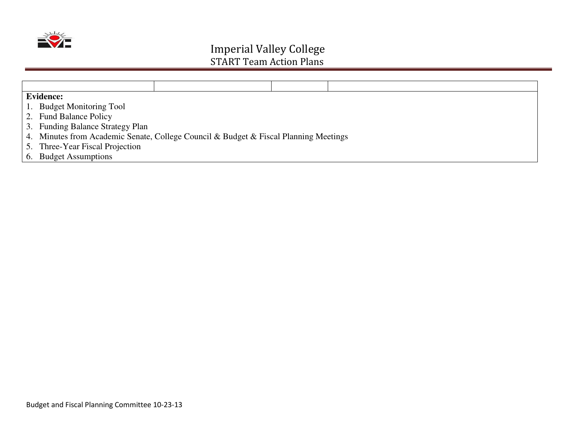

| <b>Evidence:</b>                                                                     |  |  |
|--------------------------------------------------------------------------------------|--|--|
| 1. Budget Monitoring Tool                                                            |  |  |
| 2. Fund Balance Policy                                                               |  |  |
| 3. Funding Balance Strategy Plan                                                     |  |  |
| 4. Minutes from Academic Senate, College Council & Budget & Fiscal Planning Meetings |  |  |
| 5. Three-Year Fiscal Projection                                                      |  |  |
| 6. Budget Assumptions                                                                |  |  |
|                                                                                      |  |  |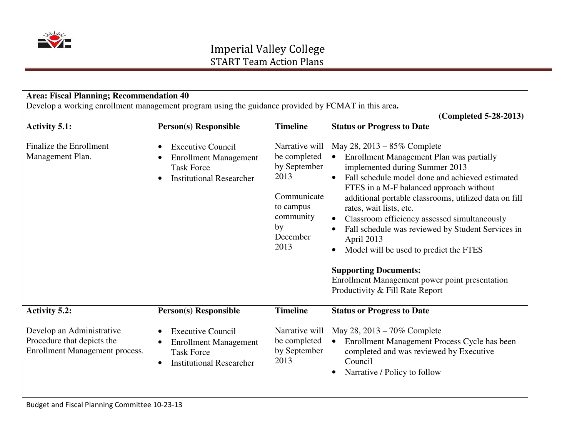

| <b>Area: Fiscal Planning; Recommendation 40</b><br>Develop a working enrollment management program using the guidance provided by FCMAT in this area. |                                                                                                                                                         |                                                                                                                           |                                                                                                                                                                                                                                                                                                                                                                                                                                                                                                                                                                                                         |
|-------------------------------------------------------------------------------------------------------------------------------------------------------|---------------------------------------------------------------------------------------------------------------------------------------------------------|---------------------------------------------------------------------------------------------------------------------------|---------------------------------------------------------------------------------------------------------------------------------------------------------------------------------------------------------------------------------------------------------------------------------------------------------------------------------------------------------------------------------------------------------------------------------------------------------------------------------------------------------------------------------------------------------------------------------------------------------|
|                                                                                                                                                       |                                                                                                                                                         |                                                                                                                           | (Completed 5-28-2013)                                                                                                                                                                                                                                                                                                                                                                                                                                                                                                                                                                                   |
| <b>Activity 5.1:</b>                                                                                                                                  | <b>Person(s) Responsible</b>                                                                                                                            | <b>Timeline</b>                                                                                                           | <b>Status or Progress to Date</b>                                                                                                                                                                                                                                                                                                                                                                                                                                                                                                                                                                       |
| Finalize the Enrollment<br>Management Plan.                                                                                                           | <b>Executive Council</b><br>$\bullet$<br><b>Enrollment Management</b><br><b>Task Force</b><br><b>Institutional Researcher</b>                           | Narrative will<br>be completed<br>by September<br>2013<br>Communicate<br>to campus<br>community<br>by<br>December<br>2013 | May 28, 2013 – 85% Complete<br>Enrollment Management Plan was partially<br>implemented during Summer 2013<br>Fall schedule model done and achieved estimated<br>$\bullet$<br>FTES in a M-F balanced approach without<br>additional portable classrooms, utilized data on fill<br>rates, wait lists, etc.<br>Classroom efficiency assessed simultaneously<br>Fall schedule was reviewed by Student Services in<br>April 2013<br>Model will be used to predict the FTES<br>$\bullet$<br><b>Supporting Documents:</b><br>Enrollment Management power point presentation<br>Productivity & Fill Rate Report |
| <b>Activity 5.2:</b>                                                                                                                                  | <b>Person(s) Responsible</b>                                                                                                                            | <b>Timeline</b>                                                                                                           | <b>Status or Progress to Date</b>                                                                                                                                                                                                                                                                                                                                                                                                                                                                                                                                                                       |
| Develop an Administrative<br>Procedure that depicts the<br>Enrollment Management process.                                                             | <b>Executive Council</b><br>$\bullet$<br><b>Enrollment Management</b><br>$\bullet$<br><b>Task Force</b><br><b>Institutional Researcher</b><br>$\bullet$ | Narrative will<br>be completed<br>by September<br>2013                                                                    | May 28, 2013 – 70% Complete<br>Enrollment Management Process Cycle has been<br>$\bullet$<br>completed and was reviewed by Executive<br>Council<br>Narrative / Policy to follow                                                                                                                                                                                                                                                                                                                                                                                                                          |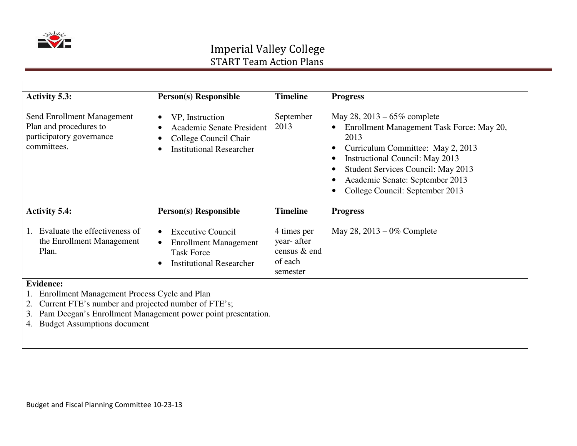

| <b>Activity 5.3:</b>                                                                                                       | <b>Person(s) Responsible</b>                                                                                                                           | <b>Timeline</b>                                                   | <b>Progress</b>                                                                                                                                                                                                                                                         |
|----------------------------------------------------------------------------------------------------------------------------|--------------------------------------------------------------------------------------------------------------------------------------------------------|-------------------------------------------------------------------|-------------------------------------------------------------------------------------------------------------------------------------------------------------------------------------------------------------------------------------------------------------------------|
| Send Enrollment Management<br>Plan and procedures to<br>participatory governance<br>committees.                            | VP, Instruction<br>$\bullet$<br><b>Academic Senate President</b><br>$\bullet$<br>College Council Chair<br>$\bullet$<br><b>Institutional Researcher</b> | September<br>2013                                                 | May 28, 2013 – $65\%$ complete<br>Enrollment Management Task Force: May 20,<br>2013<br>Curriculum Committee: May 2, 2013<br>Instructional Council: May 2013<br>Student Services Council: May 2013<br>Academic Senate: September 2013<br>College Council: September 2013 |
| <b>Activity 5.4:</b>                                                                                                       | <b>Person(s) Responsible</b>                                                                                                                           | <b>Timeline</b>                                                   | <b>Progress</b>                                                                                                                                                                                                                                                         |
| Evaluate the effectiveness of<br>the Enrollment Management<br>Plan.                                                        | <b>Executive Council</b><br>$\bullet$<br><b>Enrollment Management</b><br>$\bullet$<br><b>Task Force</b><br><b>Institutional Researcher</b>             | 4 times per<br>year- after<br>census & end<br>of each<br>semester | May 28, $2013 - 0\%$ Complete                                                                                                                                                                                                                                           |
| <b>Evidence:</b><br>Enrollment Management Process Cycle and Plan<br>2. Current FTE's number and projected number of FTE's; |                                                                                                                                                        |                                                                   |                                                                                                                                                                                                                                                                         |

Current FTE's number and projected number of FTE's; 3. Pam Deegan's Enrollment Management power point presentation.

4. Budget Assumptions document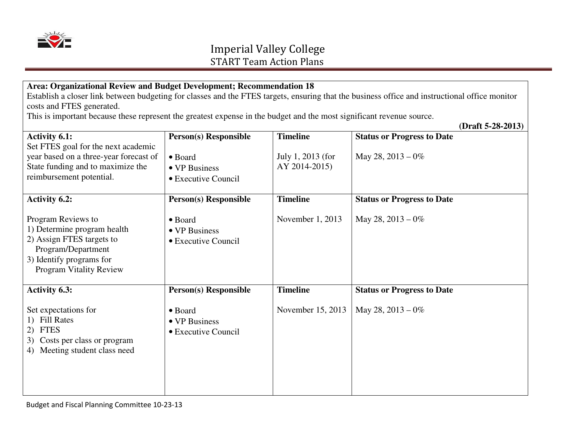

#### **Area: Organizational Review and Budget Development; Recommendation 18**  Establish a closer link between budgeting for classes and the FTES targets, ensuring that the business office and instructional office monitor costs and FTES generated.

This is important because these represent the greatest expense in the budget and the most significant revenue source.

**(Draft 5-28-2013)**

| <b>Activity 6.1:</b>                                                                                                                                               | <b>Person(s) Responsible</b>                            | <b>Timeline</b>                    | <b>Status or Progress to Date</b> |
|--------------------------------------------------------------------------------------------------------------------------------------------------------------------|---------------------------------------------------------|------------------------------------|-----------------------------------|
| Set FTES goal for the next academic<br>year based on a three-year forecast of<br>State funding and to maximize the<br>reimbursement potential.                     | • Board<br>• VP Business<br>• Executive Council         | July 1, 2013 (for<br>AY 2014-2015) | May 28, $2013 - 0\%$              |
| <b>Activity 6.2:</b>                                                                                                                                               | <b>Person(s) Responsible</b>                            | <b>Timeline</b>                    | <b>Status or Progress to Date</b> |
| Program Reviews to<br>1) Determine program health<br>2) Assign FTES targets to<br>Program/Department<br>3) Identify programs for<br><b>Program Vitality Review</b> | $\bullet$ Board<br>• VP Business<br>• Executive Council | November 1, 2013                   | May 28, $2013 - 0\%$              |
| <b>Activity 6.3:</b>                                                                                                                                               | <b>Person(s) Responsible</b>                            | <b>Timeline</b>                    | <b>Status or Progress to Date</b> |
| Set expectations for<br>1) Fill Rates<br><b>FTES</b><br>2)<br>Costs per class or program<br>3)<br>Meeting student class need<br>4)                                 | $\bullet$ Board<br>• VP Business<br>• Executive Council | November 15, 2013                  | May 28, $2013 - 0\%$              |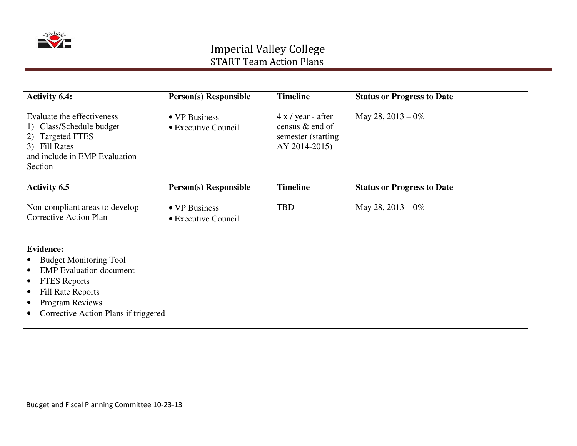

| <b>Activity 6.4:</b>                                                                                                                                 | <b>Person(s)</b> Responsible         | <b>Timeline</b>                                                                 | <b>Status or Progress to Date</b> |
|------------------------------------------------------------------------------------------------------------------------------------------------------|--------------------------------------|---------------------------------------------------------------------------------|-----------------------------------|
| Evaluate the effectiveness<br>Class/Schedule budget<br>1)<br><b>Targeted FTES</b><br>2)<br>3) Fill Rates<br>and include in EMP Evaluation<br>Section | • VP Business<br>• Executive Council | $4 x / year$ - after<br>census & end of<br>semester (starting)<br>AY 2014-2015) | May 28, $2013 - 0\%$              |
| <b>Activity 6.5</b>                                                                                                                                  | <b>Person(s) Responsible</b>         | <b>Timeline</b>                                                                 | <b>Status or Progress to Date</b> |
| Non-compliant areas to develop<br><b>Corrective Action Plan</b>                                                                                      | • VP Business<br>• Executive Council | <b>TBD</b>                                                                      | May 28, $2013 - 0\%$              |
| <b>Evidence:</b>                                                                                                                                     |                                      |                                                                                 |                                   |
| <b>Budget Monitoring Tool</b><br>$\bullet$                                                                                                           |                                      |                                                                                 |                                   |
| <b>EMP</b> Evaluation document<br>$\bullet$                                                                                                          |                                      |                                                                                 |                                   |
| <b>FTES</b> Reports<br>$\bullet$                                                                                                                     |                                      |                                                                                 |                                   |
| <b>Fill Rate Reports</b><br>$\bullet$                                                                                                                |                                      |                                                                                 |                                   |
| <b>Program Reviews</b><br>$\bullet$<br>Corrective Action Plans if triggered                                                                          |                                      |                                                                                 |                                   |
| $\bullet$                                                                                                                                            |                                      |                                                                                 |                                   |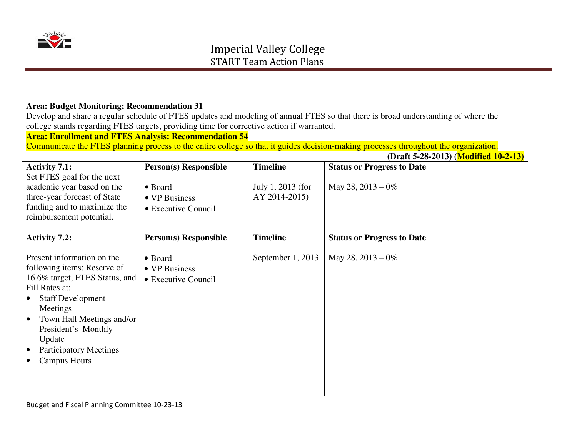

| <b>Area: Budget Monitoring; Recommendation 31</b>                                                                                  |                                                              |                   |                                                                                                                                      |  |  |  |
|------------------------------------------------------------------------------------------------------------------------------------|--------------------------------------------------------------|-------------------|--------------------------------------------------------------------------------------------------------------------------------------|--|--|--|
| Develop and share a regular schedule of FTES updates and modeling of annual FTES so that there is broad understanding of where the |                                                              |                   |                                                                                                                                      |  |  |  |
| college stands regarding FTES targets, providing time for corrective action if warranted.                                          |                                                              |                   |                                                                                                                                      |  |  |  |
|                                                                                                                                    | <b>Area: Enrollment and FTES Analysis: Recommendation 54</b> |                   |                                                                                                                                      |  |  |  |
|                                                                                                                                    |                                                              |                   | Communicate the FTES planning process to the entire college so that it guides decision-making processes throughout the organization. |  |  |  |
|                                                                                                                                    |                                                              |                   | (Draft 5-28-2013) (Modified 10-2-13)                                                                                                 |  |  |  |
| <b>Activity 7.1:</b>                                                                                                               | <b>Person(s) Responsible</b>                                 | <b>Timeline</b>   | <b>Status or Progress to Date</b>                                                                                                    |  |  |  |
| Set FTES goal for the next                                                                                                         |                                                              |                   |                                                                                                                                      |  |  |  |
| academic year based on the                                                                                                         | • Board                                                      | July 1, 2013 (for | May 28, $2013 - 0\%$                                                                                                                 |  |  |  |
| three-year forecast of State                                                                                                       | • VP Business                                                | AY 2014-2015)     |                                                                                                                                      |  |  |  |
| funding and to maximize the                                                                                                        | • Executive Council                                          |                   |                                                                                                                                      |  |  |  |
| reimbursement potential.                                                                                                           |                                                              |                   |                                                                                                                                      |  |  |  |
|                                                                                                                                    |                                                              |                   |                                                                                                                                      |  |  |  |
| <b>Activity 7.2:</b>                                                                                                               | <b>Person(s) Responsible</b>                                 | <b>Timeline</b>   | <b>Status or Progress to Date</b>                                                                                                    |  |  |  |
| Present information on the                                                                                                         | • Board                                                      | September 1, 2013 | May 28, $2013 - 0\%$                                                                                                                 |  |  |  |
| following items: Reserve of                                                                                                        | • VP Business                                                |                   |                                                                                                                                      |  |  |  |
| 16.6% target, FTES Status, and                                                                                                     | • Executive Council                                          |                   |                                                                                                                                      |  |  |  |
| Fill Rates at:                                                                                                                     |                                                              |                   |                                                                                                                                      |  |  |  |
| <b>Staff Development</b>                                                                                                           |                                                              |                   |                                                                                                                                      |  |  |  |
| Meetings                                                                                                                           |                                                              |                   |                                                                                                                                      |  |  |  |
| Town Hall Meetings and/or<br>$\bullet$                                                                                             |                                                              |                   |                                                                                                                                      |  |  |  |
| President's Monthly                                                                                                                |                                                              |                   |                                                                                                                                      |  |  |  |
| Update                                                                                                                             |                                                              |                   |                                                                                                                                      |  |  |  |
| <b>Participatory Meetings</b>                                                                                                      |                                                              |                   |                                                                                                                                      |  |  |  |
| <b>Campus Hours</b>                                                                                                                |                                                              |                   |                                                                                                                                      |  |  |  |
|                                                                                                                                    |                                                              |                   |                                                                                                                                      |  |  |  |
|                                                                                                                                    |                                                              |                   |                                                                                                                                      |  |  |  |
|                                                                                                                                    |                                                              |                   |                                                                                                                                      |  |  |  |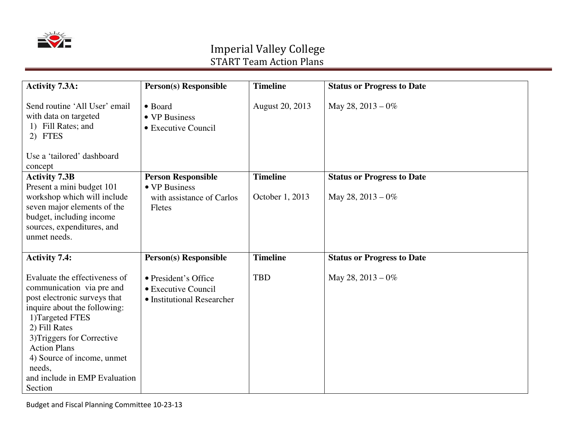

| <b>Activity 7.3A:</b>                                                                                                                                                                                                                                                                                   | <b>Person(s) Responsible</b>                                                      | <b>Timeline</b>                    | <b>Status or Progress to Date</b>                         |
|---------------------------------------------------------------------------------------------------------------------------------------------------------------------------------------------------------------------------------------------------------------------------------------------------------|-----------------------------------------------------------------------------------|------------------------------------|-----------------------------------------------------------|
| Send routine 'All User' email<br>with data on targeted<br>1) Fill Rates; and<br>2) FTES<br>Use a 'tailored' dashboard                                                                                                                                                                                   | • Board<br>• VP Business<br>• Executive Council                                   | August 20, 2013                    | May 28, $2013 - 0\%$                                      |
| concept<br><b>Activity 7.3B</b><br>Present a mini budget 101<br>workshop which will include<br>seven major elements of the<br>budget, including income<br>sources, expenditures, and<br>unmet needs.                                                                                                    | <b>Person Responsible</b><br>• VP Business<br>with assistance of Carlos<br>Fletes | <b>Timeline</b><br>October 1, 2013 | <b>Status or Progress to Date</b><br>May 28, $2013 - 0\%$ |
| <b>Activity 7.4:</b>                                                                                                                                                                                                                                                                                    | <b>Person(s) Responsible</b>                                                      | <b>Timeline</b>                    | <b>Status or Progress to Date</b>                         |
| Evaluate the effectiveness of<br>communication via pre and<br>post electronic surveys that<br>inquire about the following:<br>1)Targeted FTES<br>2) Fill Rates<br>3) Triggers for Corrective<br><b>Action Plans</b><br>4) Source of income, unmet<br>needs,<br>and include in EMP Evaluation<br>Section | • President's Office<br>• Executive Council<br>• Institutional Researcher         | <b>TBD</b>                         | May 28, $2013 - 0\%$                                      |

Budget and Fiscal Planning Committee 10-23-13